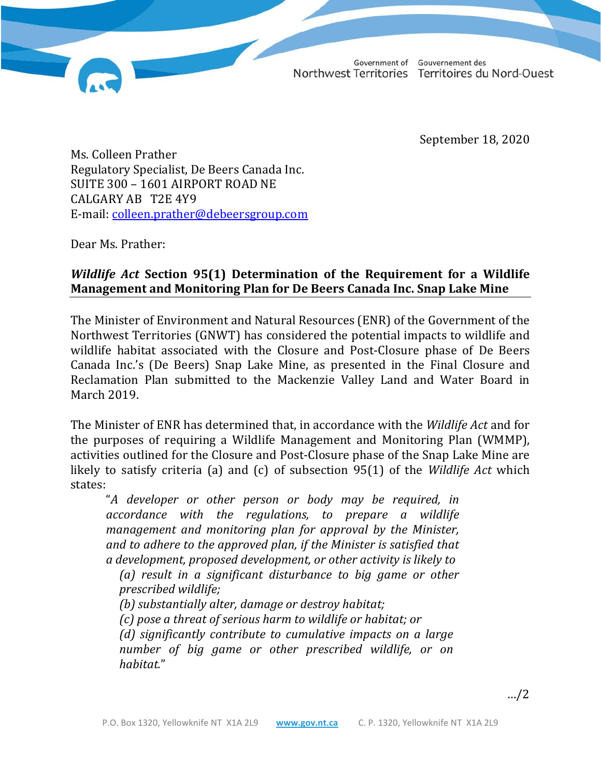Gouvernement des Government of Northwest Territories Territoires du Nord-Ouest

September 18, 2020

Ms. Colleen Prather Regulatory Specialist, De Beers Canada Inc. SUITE 300 – 1601 AIRPORT ROAD NE CALGARY AB T2E 4Y9 E-mail: [colleen.prather@debeersgroup.com](http://diims.pws.gov.nt.ca/yk32vapp05pdav/nodes/124990577/colleen.prather%40debeersgroup.com)

Dear Ms. Prather:

## *Wildlife Act* **Section 95(1) Determination of the Requirement for a Wildlife Management and Monitoring Plan for De Beers Canada Inc. Snap Lake Mine**

The Minister of Environment and Natural Resources (ENR) of the Government of the Northwest Territories (GNWT) has considered the potential impacts to wildlife and wildlife habitat associated with the Closure and Post-Closure phase of De Beers Canada Inc.'s (De Beers) Snap Lake Mine, as presented in the Final Closure and Reclamation Plan submitted to the Mackenzie Valley Land and Water Board in March 2019.

The Minister of ENR has determined that, in accordance with the *Wildlife Act* and for the purposes of requiring a Wildlife Management and Monitoring Plan (WMMP), activities outlined for the Closure and Post-Closure phase of the Snap Lake Mine are likely to satisfy criteria (a) and (c) of subsection 95(1) of the *Wildlife Act* which states:

"*A developer or other person or body may be required, in accordance with the regulations, to prepare a wildlife management and monitoring plan for approval by the Minister, and to adhere to the approved plan, if the Minister is satisfied that a development, proposed development, or other activity is likely to*

*(a) result in a significant disturbance to big game or other prescribed wildlife;*

*(b) substantially alter, damage or destroy habitat;*

*(c) pose a threat of serious harm to wildlife or habitat; or*

*(d) significantly contribute to cumulative impacts on a large number of big game or other prescribed wildlife, or on habitat.*"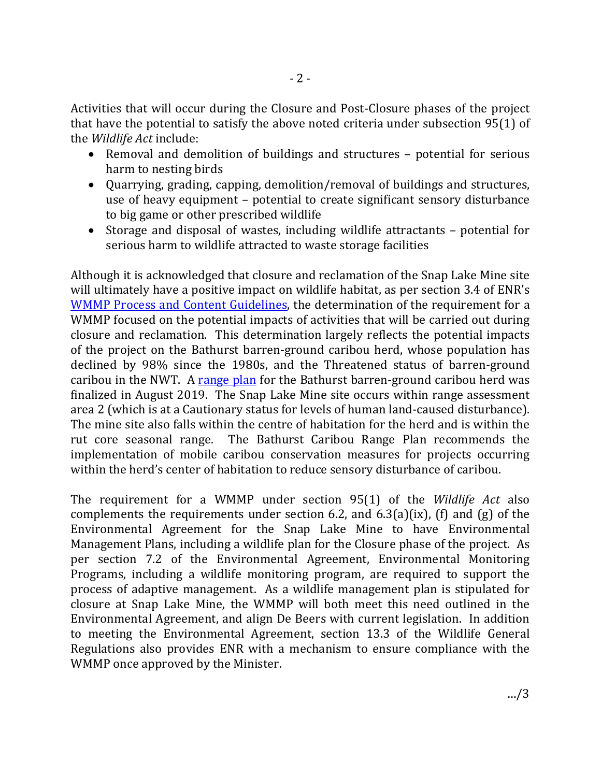Activities that will occur during the Closure and Post-Closure phases of the project that have the potential to satisfy the above noted criteria under subsection 95(1) of the *Wildlife Act* include:

- Removal and demolition of buildings and structures potential for serious harm to nesting birds
- Quarrying, grading, capping, demolition/removal of buildings and structures, use of heavy equipment – potential to create significant sensory disturbance to big game or other prescribed wildlife
- Storage and disposal of wastes, including wildlife attractants potential for serious harm to wildlife attracted to waste storage facilities

Although it is acknowledged that closure and reclamation of the Snap Lake Mine site will ultimately have a positive impact on wildlife habitat, as per section 3.4 of ENR's [WMMP Process and Content Guidelines,](http://www.enr.gov.nt.ca/en/services/wildlife-management-and-monitoring-plans) the determination of the requirement for a WMMP focused on the potential impacts of activities that will be carried out during closure and reclamation. This determination largely reflects the potential impacts of the project on the Bathurst barren-ground caribou herd, whose population has declined by 98% since the 1980s, and the Threatened status of barren-ground caribou in the NWT. A [range plan](https://www.enr.gov.nt.ca/en/bathurst-caribou-range-plan-plan-pour-laire-de-repartition-des-caribous-de-bathurst) for the Bathurst barren-ground caribou herd was finalized in August 2019. The Snap Lake Mine site occurs within range assessment area 2 (which is at a Cautionary status for levels of human land-caused disturbance). The mine site also falls within the centre of habitation for the herd and is within the rut core seasonal range. The Bathurst Caribou Range Plan recommends the implementation of mobile caribou conservation measures for projects occurring within the herd's center of habitation to reduce sensory disturbance of caribou.

The requirement for a WMMP under section 95(1) of the *Wildlife Act* also complements the requirements under section 6.2, and 6.3(a)(ix), (f) and (g) of the Environmental Agreement for the Snap Lake Mine to have Environmental Management Plans, including a wildlife plan for the Closure phase of the project. As per section 7.2 of the Environmental Agreement, Environmental Monitoring Programs, including a wildlife monitoring program, are required to support the process of adaptive management. As a wildlife management plan is stipulated for closure at Snap Lake Mine, the WMMP will both meet this need outlined in the Environmental Agreement, and align De Beers with current legislation. In addition to meeting the Environmental Agreement, section 13.3 of the Wildlife General Regulations also provides ENR with a mechanism to ensure compliance with the WMMP once approved by the Minister.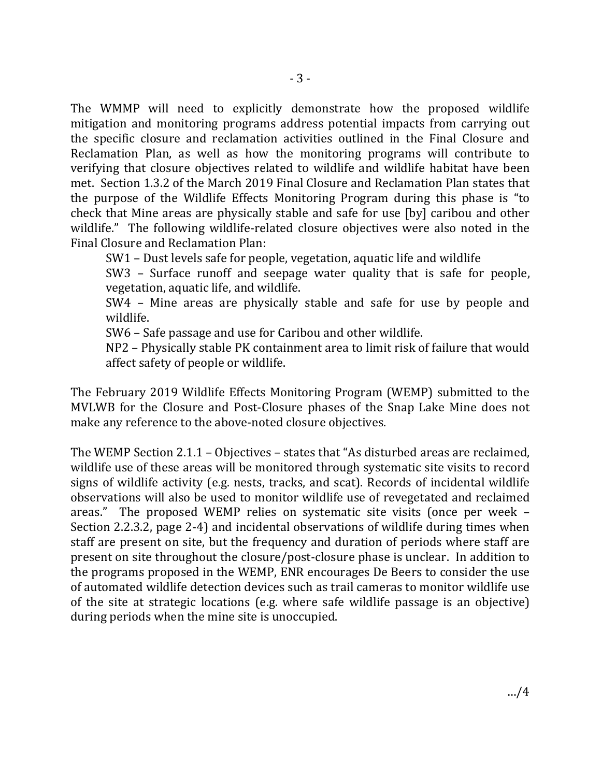The WMMP will need to explicitly demonstrate how the proposed wildlife mitigation and monitoring programs address potential impacts from carrying out the specific closure and reclamation activities outlined in the Final Closure and Reclamation Plan, as well as how the monitoring programs will contribute to verifying that closure objectives related to wildlife and wildlife habitat have been met. Section 1.3.2 of the March 2019 Final Closure and Reclamation Plan states that the purpose of the Wildlife Effects Monitoring Program during this phase is "to check that Mine areas are physically stable and safe for use [by] caribou and other wildlife." The following wildlife-related closure objectives were also noted in the Final Closure and Reclamation Plan:

SW1 – Dust levels safe for people, vegetation, aquatic life and wildlife

SW3 – Surface runoff and seepage water quality that is safe for people, vegetation, aquatic life, and wildlife.

SW4 – Mine areas are physically stable and safe for use by people and wildlife.

SW6 – Safe passage and use for Caribou and other wildlife.

NP2 – Physically stable PK containment area to limit risk of failure that would affect safety of people or wildlife.

The February 2019 Wildlife Effects Monitoring Program (WEMP) submitted to the MVLWB for the Closure and Post-Closure phases of the Snap Lake Mine does not make any reference to the above-noted closure objectives.

The WEMP Section 2.1.1 – Objectives – states that "As disturbed areas are reclaimed, wildlife use of these areas will be monitored through systematic site visits to record signs of wildlife activity (e.g. nests, tracks, and scat). Records of incidental wildlife observations will also be used to monitor wildlife use of revegetated and reclaimed areas." The proposed WEMP relies on systematic site visits (once per week – Section 2.2.3.2, page 2-4) and incidental observations of wildlife during times when staff are present on site, but the frequency and duration of periods where staff are present on site throughout the closure/post-closure phase is unclear. In addition to the programs proposed in the WEMP, ENR encourages De Beers to consider the use of automated wildlife detection devices such as trail cameras to monitor wildlife use of the site at strategic locations (e.g. where safe wildlife passage is an objective) during periods when the mine site is unoccupied.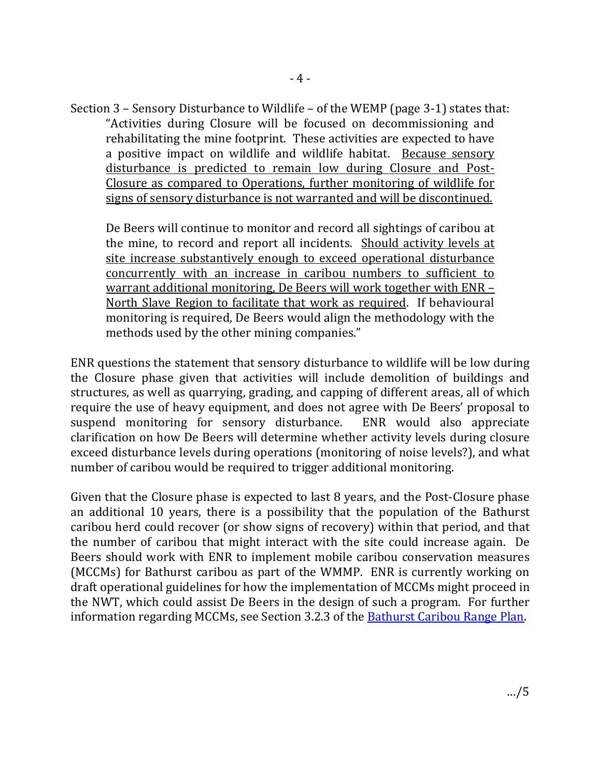Section 3 – Sensory Disturbance to Wildlife – of the WEMP (page 3-1) states that: "Activities during Closure will be focused on decommissioning and rehabilitating the mine footprint. These activities are expected to have a positive impact on wildlife and wildlife habitat. Because sensory disturbance is predicted to remain low during Closure and Post-Closure as compared to Operations, further monitoring of wildlife for signs of sensory disturbance is not warranted and will be discontinued.

De Beers will continue to monitor and record all sightings of caribou at the mine, to record and report all incidents. Should activity levels at site increase substantively enough to exceed operational disturbance concurrently with an increase in caribou numbers to sufficient to warrant additional monitoring, De Beers will work together with ENR – North Slave Region to facilitate that work as required. If behavioural monitoring is required, De Beers would align the methodology with the methods used by the other mining companies."

ENR questions the statement that sensory disturbance to wildlife will be low during the Closure phase given that activities will include demolition of buildings and structures, as well as quarrying, grading, and capping of different areas, all of which require the use of heavy equipment, and does not agree with De Beers' proposal to suspend monitoring for sensory disturbance. ENR would also appreciate suspend monitoring for sensory disturbance. clarification on how De Beers will determine whether activity levels during closure exceed disturbance levels during operations (monitoring of noise levels?), and what number of caribou would be required to trigger additional monitoring.

Given that the Closure phase is expected to last 8 years, and the Post-Closure phase an additional 10 years, there is a possibility that the population of the Bathurst caribou herd could recover (or show signs of recovery) within that period, and that the number of caribou that might interact with the site could increase again. De Beers should work with ENR to implement mobile caribou conservation measures (MCCMs) for Bathurst caribou as part of the WMMP. ENR is currently working on draft operational guidelines for how the implementation of MCCMs might proceed in the NWT, which could assist De Beers in the design of such a program. For further information regarding MCCMs, see Section 3.2.3 of the **Bathurst Caribou Range Plan**.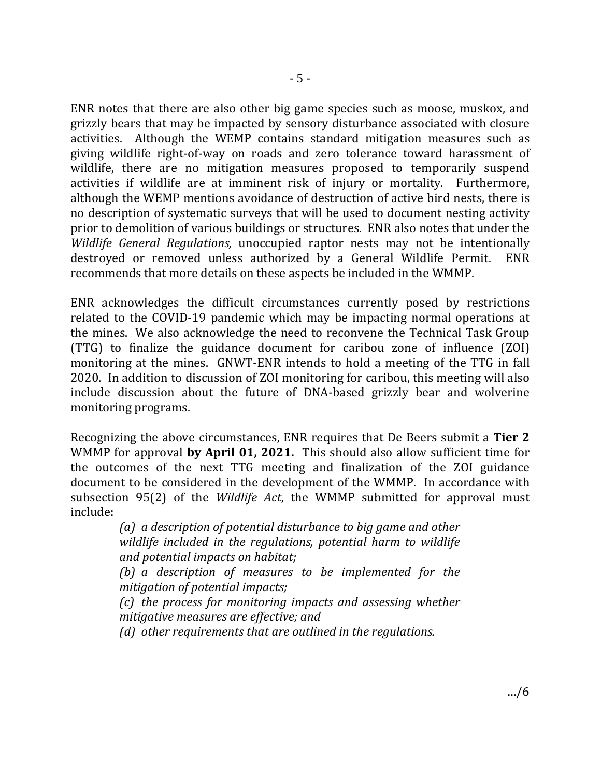ENR notes that there are also other big game species such as moose, muskox, and grizzly bears that may be impacted by sensory disturbance associated with closure activities. Although the WEMP contains standard mitigation measures such as giving wildlife right-of-way on roads and zero tolerance toward harassment of wildlife, there are no mitigation measures proposed to temporarily suspend activities if wildlife are at imminent risk of injury or mortality. Furthermore, although the WEMP mentions avoidance of destruction of active bird nests, there is no description of systematic surveys that will be used to document nesting activity prior to demolition of various buildings or structures. ENR also notes that under the *Wildlife General Regulations,* unoccupied raptor nests may not be intentionally destroved or removed unless authorized by a General Wildlife Permit. ENR destroyed or removed unless authorized by a General Wildlife Permit. recommends that more details on these aspects be included in the WMMP.

ENR acknowledges the difficult circumstances currently posed by restrictions related to the COVID-19 pandemic which may be impacting normal operations at the mines. We also acknowledge the need to reconvene the Technical Task Group (TTG) to finalize the guidance document for caribou zone of influence (ZOI) monitoring at the mines. GNWT-ENR intends to hold a meeting of the TTG in fall 2020. In addition to discussion of ZOI monitoring for caribou, this meeting will also include discussion about the future of DNA-based grizzly bear and wolverine monitoring programs.

Recognizing the above circumstances, ENR requires that De Beers submit a **Tier 2**  WMMP for approval **by April 01, 2021.** This should also allow sufficient time for the outcomes of the next TTG meeting and finalization of the ZOI guidance document to be considered in the development of the WMMP. In accordance with subsection 95(2) of the *Wildlife Act*, the WMMP submitted for approval must include:

> *(a) a description of potential disturbance to big game and other wildlife included in the regulations, potential harm to wildlife and potential impacts on habitat;*

> *(b) a description of measures to be implemented for the mitigation of potential impacts;*

> *(c) the process for monitoring impacts and assessing whether mitigative measures are effective; and*

*(d) other requirements that are outlined in the regulations.*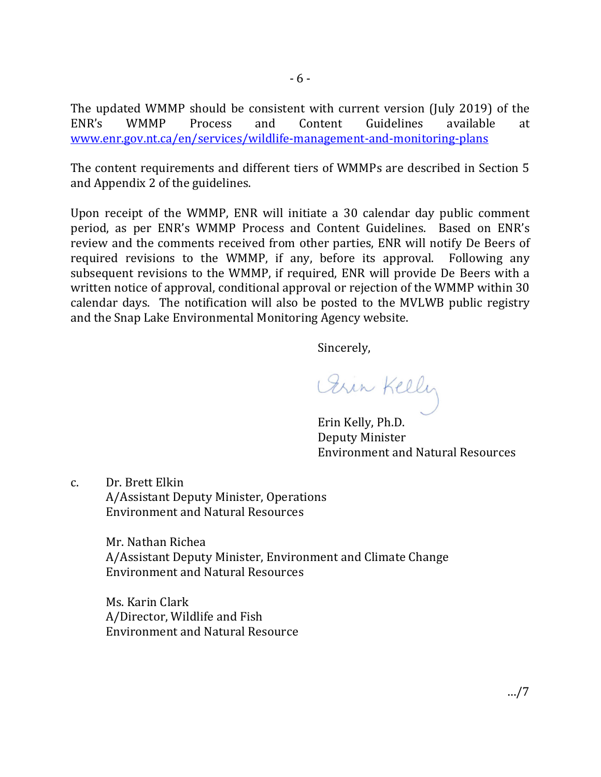The updated WMMP should be consistent with current version (July 2019) of the ENR's WMMP Process and Content Guidelines available at ENR's WMMP Process and Content Guidelines available at [www.enr.gov.nt.ca/en/services/wildlife-management-and-monitoring-plans](http://www.enr.gov.nt.ca/en/services/wildlife-management-and-monitoring-plans)

The content requirements and different tiers of WMMPs are described in Section 5 and Appendix 2 of the guidelines.

Upon receipt of the WMMP, ENR will initiate a 30 calendar day public comment period, as per ENR's WMMP Process and Content Guidelines. Based on ENR's review and the comments received from other parties, ENR will notify De Beers of required revisions to the WMMP, if any, before its approval. Following any subsequent revisions to the WMMP, if required, ENR will provide De Beers with a written notice of approval, conditional approval or rejection of the WMMP within 30 calendar days. The notification will also be posted to the MVLWB public registry and the Snap Lake Environmental Monitoring Agency website.

Sincerely,

Orin Kelly

Erin Kelly, Ph.D. Deputy Minister Environment and Natural Resources

c. Dr. Brett Elkin A/Assistant Deputy Minister, Operations Environment and Natural Resources

> Mr. Nathan Richea A/Assistant Deputy Minister, Environment and Climate Change Environment and Natural Resources

 Ms. Karin Clark A/Director, Wildlife and Fish Environment and Natural Resource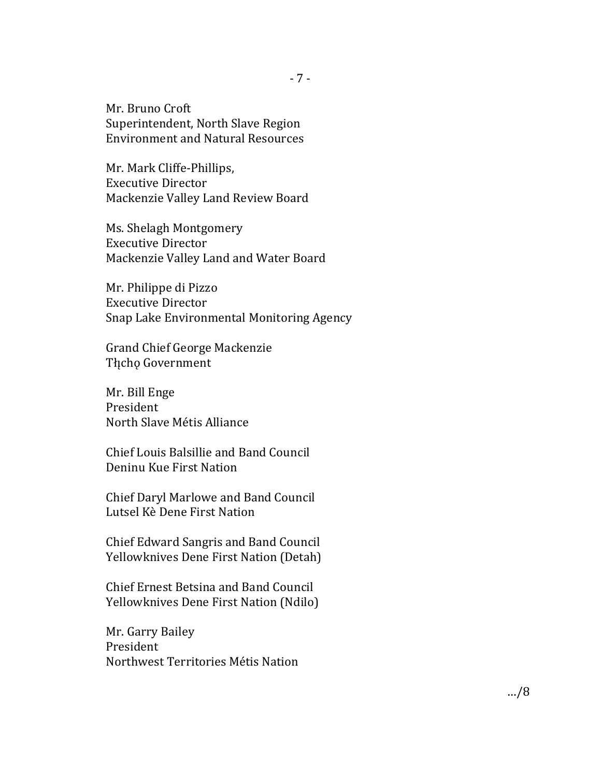Mr. Bruno Croft Superintendent, North Slave Region Environment and Natural Resources

Mr. Mark Cliffe-Phillips, Executive Director Mackenzie Valley Land Review Board

Ms. Shelagh Montgomery Executive Director Mackenzie Valley Land and Water Board

Mr. Philippe di Pizzo Executive Director Snap Lake Environmental Monitoring Agency

Grand Chief George Mackenzie Tłįcho Government

Mr. Bill Enge President North Slave Métis Alliance

Chief Louis Balsillie and Band Council Deninu Kue First Nation

Chief Daryl Marlowe and Band Council Lutsel Kè Dene First Nation

Chief Edward Sangris and Band Council Yellowknives Dene First Nation (Detah)

Chief Ernest Betsina and Band Council Yellowknives Dene First Nation (Ndilo)

Mr. Garry Bailey President Northwest Territories Métis Nation